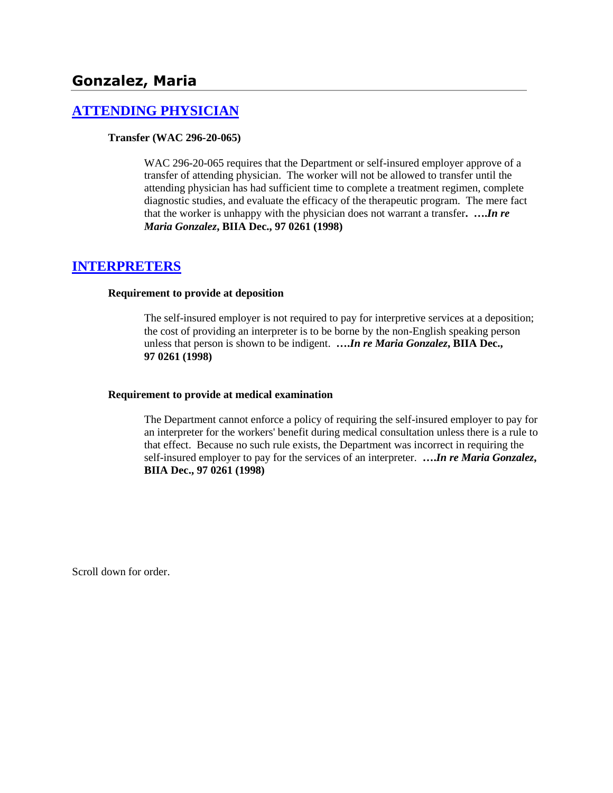# **Gonzalez, Maria**

# **[ATTENDING PHYSICIAN](http://www.biia.wa.gov/SDSubjectIndex.html#ATTENDING_PHYSICIAN)**

## **Transfer (WAC 296-20-065)**

WAC 296-20-065 requires that the Department or self-insured employer approve of a transfer of attending physician. The worker will not be allowed to transfer until the attending physician has had sufficient time to complete a treatment regimen, complete diagnostic studies, and evaluate the efficacy of the therapeutic program. The mere fact that the worker is unhappy with the physician does not warrant a transfer**. ….***In re Maria Gonzalez***, BIIA Dec., 97 0261 (1998)** 

# **[INTERPRETERS](http://www.biia.wa.gov/SDSubjectIndex.html#INTERPRETERS)**

### **Requirement to provide at deposition**

The self-insured employer is not required to pay for interpretive services at a deposition; the cost of providing an interpreter is to be borne by the non-English speaking person unless that person is shown to be indigent. **….***In re Maria Gonzalez***, BIIA Dec., 97 0261 (1998)** 

### **Requirement to provide at medical examination**

The Department cannot enforce a policy of requiring the self-insured employer to pay for an interpreter for the workers' benefit during medical consultation unless there is a rule to that effect. Because no such rule exists, the Department was incorrect in requiring the self-insured employer to pay for the services of an interpreter. **….***In re Maria Gonzalez***, BIIA Dec., 97 0261 (1998)**

Scroll down for order.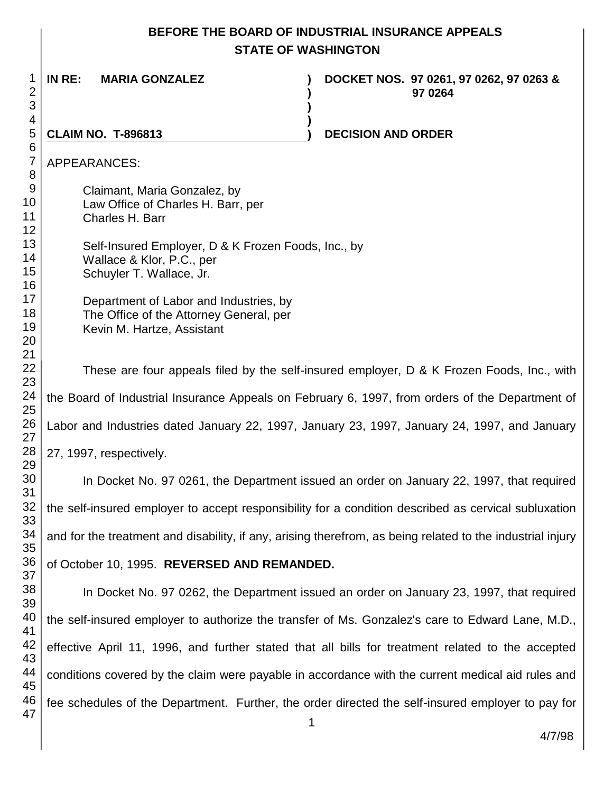# **BEFORE THE BOARD OF INDUSTRIAL INSURANCE APPEALS STATE OF WASHINGTON**

**) )**

**IN RE: MARIA GONZALEZ ) DOCKET NOS. 97 0261, 97 0262, 97 0263 & ) 97 0264** 

**CLAIM NO. T-896813 ) DECISION AND ORDER** 

APPEARANCES:

Claimant, Maria Gonzalez, by Law Office of Charles H. Barr, per Charles H. Barr

 Self-Insured Employer, D & K Frozen Foods, Inc., by Wallace & Klor, P.C., per Schuyler T. Wallace, Jr.

Department of Labor and Industries, by The Office of the Attorney General, per Kevin M. Hartze, Assistant

These are four appeals filed by the self-insured employer, D & K Frozen Foods, Inc., with the Board of Industrial Insurance Appeals on February 6, 1997, from orders of the Department of Labor and Industries dated January 22, 1997, January 23, 1997, January 24, 1997, and January 27, 1997, respectively.

In Docket No. 97 0261, the Department issued an order on January 22, 1997, that required the self-insured employer to accept responsibility for a condition described as cervical subluxation and for the treatment and disability, if any, arising therefrom, as being related to the industrial injury

of October 10, 1995. **REVERSED AND REMANDED.**

 In Docket No. 97 0262, the Department issued an order on January 23, 1997, that required the self-insured employer to authorize the transfer of Ms. Gonzalez's care to Edward Lane, M.D., effective April 11, 1996, and further stated that all bills for treatment related to the accepted conditions covered by the claim were payable in accordance with the current medical aid rules and fee schedules of the Department. Further, the order directed the self-insured employer to pay for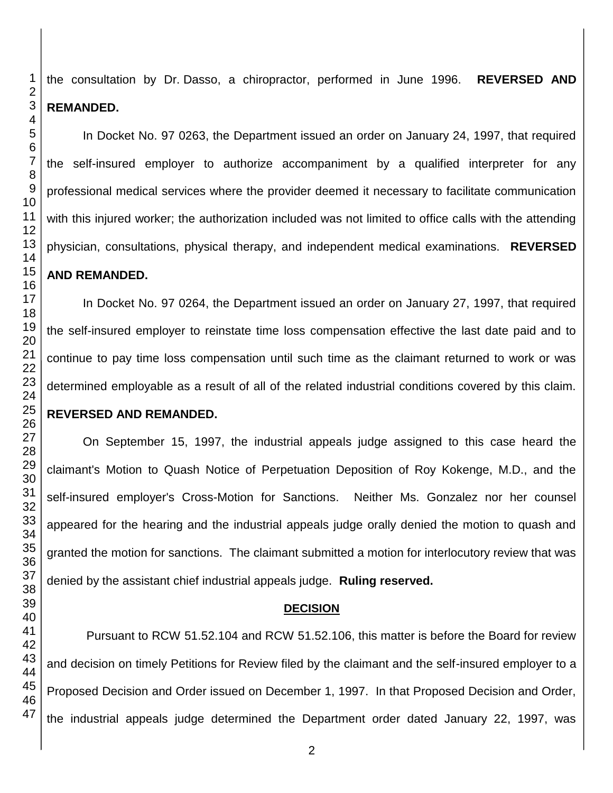the consultation by Dr. Dasso, a chiropractor, performed in June 1996. **REVERSED AND REMANDED.**

In Docket No. 97 0263, the Department issued an order on January 24, 1997, that required the self-insured employer to authorize accompaniment by a qualified interpreter for any professional medical services where the provider deemed it necessary to facilitate communication with this injured worker; the authorization included was not limited to office calls with the attending physician, consultations, physical therapy, and independent medical examinations. **REVERSED AND REMANDED.**

In Docket No. 97 0264, the Department issued an order on January 27, 1997, that required the self-insured employer to reinstate time loss compensation effective the last date paid and to continue to pay time loss compensation until such time as the claimant returned to work or was determined employable as a result of all of the related industrial conditions covered by this claim. **REVERSED AND REMANDED.**

On September 15, 1997, the industrial appeals judge assigned to this case heard the claimant's Motion to Quash Notice of Perpetuation Deposition of Roy Kokenge, M.D., and the self-insured employer's Cross-Motion for Sanctions. Neither Ms. Gonzalez nor her counsel appeared for the hearing and the industrial appeals judge orally denied the motion to quash and granted the motion for sanctions. The claimant submitted a motion for interlocutory review that was denied by the assistant chief industrial appeals judge. **Ruling reserved.**

## **DECISION**

Pursuant to RCW 51.52.104 and RCW 51.52.106, this matter is before the Board for review and decision on timely Petitions for Review filed by the claimant and the self-insured employer to a Proposed Decision and Order issued on December 1, 1997. In that Proposed Decision and Order, the industrial appeals judge determined the Department order dated January 22, 1997, was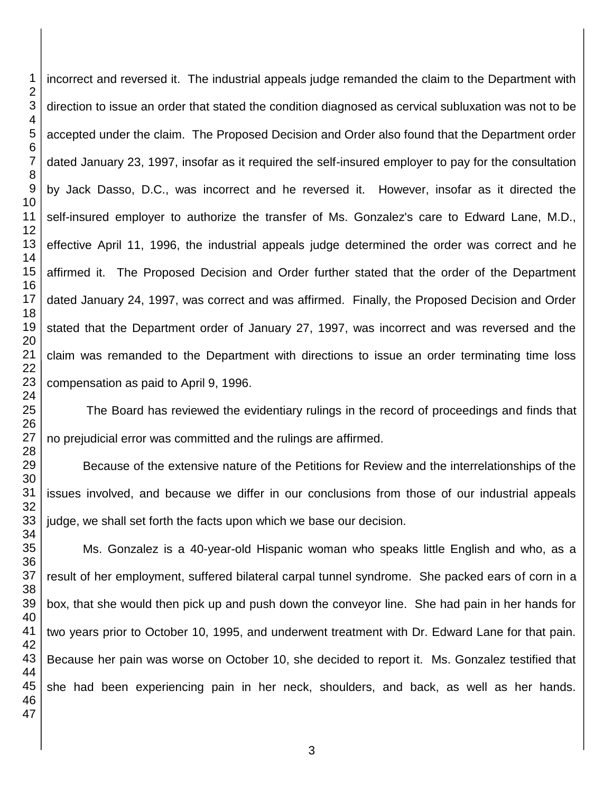incorrect and reversed it. The industrial appeals judge remanded the claim to the Department with direction to issue an order that stated the condition diagnosed as cervical subluxation was not to be accepted under the claim. The Proposed Decision and Order also found that the Department order dated January 23, 1997, insofar as it required the self-insured employer to pay for the consultation by Jack Dasso, D.C., was incorrect and he reversed it. However, insofar as it directed the self-insured employer to authorize the transfer of Ms. Gonzalez's care to Edward Lane, M.D., effective April 11, 1996, the industrial appeals judge determined the order was correct and he affirmed it. The Proposed Decision and Order further stated that the order of the Department dated January 24, 1997, was correct and was affirmed. Finally, the Proposed Decision and Order stated that the Department order of January 27, 1997, was incorrect and was reversed and the claim was remanded to the Department with directions to issue an order terminating time loss compensation as paid to April 9, 1996.

The Board has reviewed the evidentiary rulings in the record of proceedings and finds that no prejudicial error was committed and the rulings are affirmed.

Because of the extensive nature of the Petitions for Review and the interrelationships of the issues involved, and because we differ in our conclusions from those of our industrial appeals judge, we shall set forth the facts upon which we base our decision.

Ms. Gonzalez is a 40-year-old Hispanic woman who speaks little English and who, as a result of her employment, suffered bilateral carpal tunnel syndrome. She packed ears of corn in a box, that she would then pick up and push down the conveyor line. She had pain in her hands for two years prior to October 10, 1995, and underwent treatment with Dr. Edward Lane for that pain. Because her pain was worse on October 10, she decided to report it. Ms. Gonzalez testified that she had been experiencing pain in her neck, shoulders, and back, as well as her hands.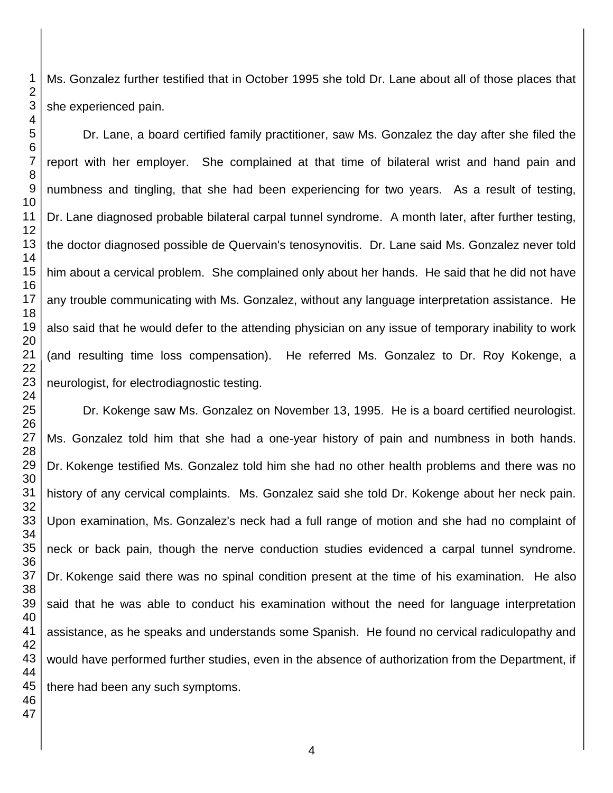Ms. Gonzalez further testified that in October 1995 she told Dr. Lane about all of those places that she experienced pain.

Dr. Lane, a board certified family practitioner, saw Ms. Gonzalez the day after she filed the report with her employer. She complained at that time of bilateral wrist and hand pain and numbness and tingling, that she had been experiencing for two years. As a result of testing, Dr. Lane diagnosed probable bilateral carpal tunnel syndrome. A month later, after further testing, the doctor diagnosed possible de Quervain's tenosynovitis. Dr. Lane said Ms. Gonzalez never told him about a cervical problem. She complained only about her hands. He said that he did not have any trouble communicating with Ms. Gonzalez, without any language interpretation assistance. He also said that he would defer to the attending physician on any issue of temporary inability to work (and resulting time loss compensation). He referred Ms. Gonzalez to Dr. Roy Kokenge, a neurologist, for electrodiagnostic testing.

Dr. Kokenge saw Ms. Gonzalez on November 13, 1995. He is a board certified neurologist. Ms. Gonzalez told him that she had a one-year history of pain and numbness in both hands. Dr. Kokenge testified Ms. Gonzalez told him she had no other health problems and there was no history of any cervical complaints. Ms. Gonzalez said she told Dr. Kokenge about her neck pain. Upon examination, Ms. Gonzalez's neck had a full range of motion and she had no complaint of neck or back pain, though the nerve conduction studies evidenced a carpal tunnel syndrome. Dr. Kokenge said there was no spinal condition present at the time of his examination. He also said that he was able to conduct his examination without the need for language interpretation assistance, as he speaks and understands some Spanish. He found no cervical radiculopathy and would have performed further studies, even in the absence of authorization from the Department, if there had been any such symptoms.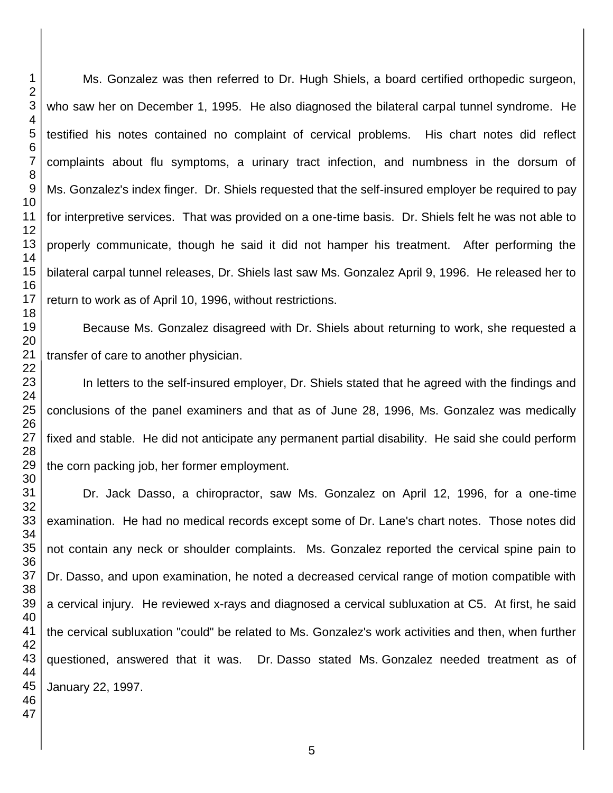Ms. Gonzalez was then referred to Dr. Hugh Shiels, a board certified orthopedic surgeon, who saw her on December 1, 1995. He also diagnosed the bilateral carpal tunnel syndrome. He testified his notes contained no complaint of cervical problems. His chart notes did reflect complaints about flu symptoms, a urinary tract infection, and numbness in the dorsum of Ms. Gonzalez's index finger. Dr. Shiels requested that the self-insured employer be required to pay for interpretive services. That was provided on a one-time basis. Dr. Shiels felt he was not able to properly communicate, though he said it did not hamper his treatment. After performing the bilateral carpal tunnel releases, Dr. Shiels last saw Ms. Gonzalez April 9, 1996. He released her to return to work as of April 10, 1996, without restrictions.

Because Ms. Gonzalez disagreed with Dr. Shiels about returning to work, she requested a transfer of care to another physician.

In letters to the self-insured employer, Dr. Shiels stated that he agreed with the findings and conclusions of the panel examiners and that as of June 28, 1996, Ms. Gonzalez was medically fixed and stable. He did not anticipate any permanent partial disability. He said she could perform the corn packing job, her former employment.

Dr. Jack Dasso, a chiropractor, saw Ms. Gonzalez on April 12, 1996, for a one-time examination. He had no medical records except some of Dr. Lane's chart notes. Those notes did not contain any neck or shoulder complaints. Ms. Gonzalez reported the cervical spine pain to Dr. Dasso, and upon examination, he noted a decreased cervical range of motion compatible with a cervical injury. He reviewed x-rays and diagnosed a cervical subluxation at C5. At first, he said the cervical subluxation "could" be related to Ms. Gonzalez's work activities and then, when further questioned, answered that it was. Dr. Dasso stated Ms. Gonzalez needed treatment as of January 22, 1997.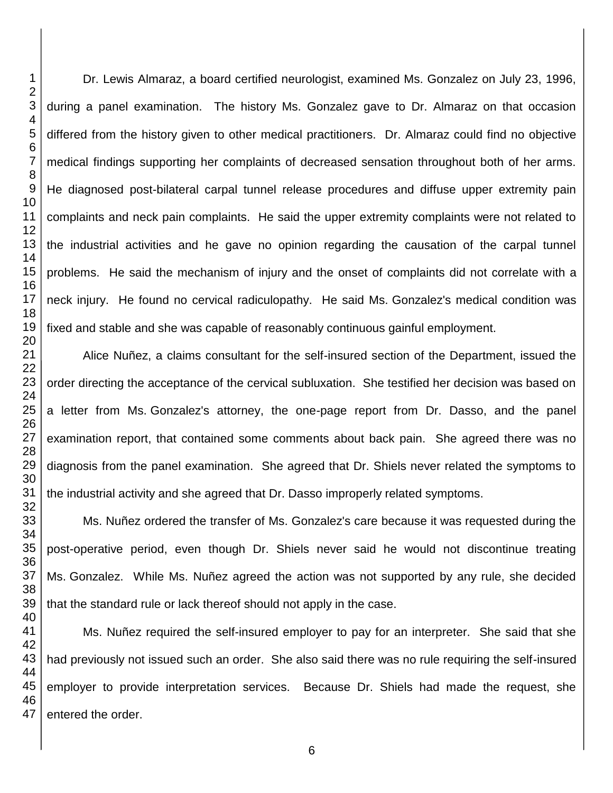Dr. Lewis Almaraz, a board certified neurologist, examined Ms. Gonzalez on July 23, 1996, during a panel examination. The history Ms. Gonzalez gave to Dr. Almaraz on that occasion differed from the history given to other medical practitioners. Dr. Almaraz could find no objective medical findings supporting her complaints of decreased sensation throughout both of her arms. He diagnosed post-bilateral carpal tunnel release procedures and diffuse upper extremity pain complaints and neck pain complaints. He said the upper extremity complaints were not related to the industrial activities and he gave no opinion regarding the causation of the carpal tunnel problems. He said the mechanism of injury and the onset of complaints did not correlate with a neck injury. He found no cervical radiculopathy. He said Ms. Gonzalez's medical condition was fixed and stable and she was capable of reasonably continuous gainful employment.

Alice Nuñez, a claims consultant for the self-insured section of the Department, issued the order directing the acceptance of the cervical subluxation. She testified her decision was based on a letter from Ms. Gonzalez's attorney, the one-page report from Dr. Dasso, and the panel examination report, that contained some comments about back pain. She agreed there was no diagnosis from the panel examination. She agreed that Dr. Shiels never related the symptoms to the industrial activity and she agreed that Dr. Dasso improperly related symptoms.

Ms. Nuñez ordered the transfer of Ms. Gonzalez's care because it was requested during the post-operative period, even though Dr. Shiels never said he would not discontinue treating Ms. Gonzalez. While Ms. Nuñez agreed the action was not supported by any rule, she decided that the standard rule or lack thereof should not apply in the case.

Ms. Nuñez required the self-insured employer to pay for an interpreter. She said that she had previously not issued such an order. She also said there was no rule requiring the self-insured employer to provide interpretation services. Because Dr. Shiels had made the request, she entered the order.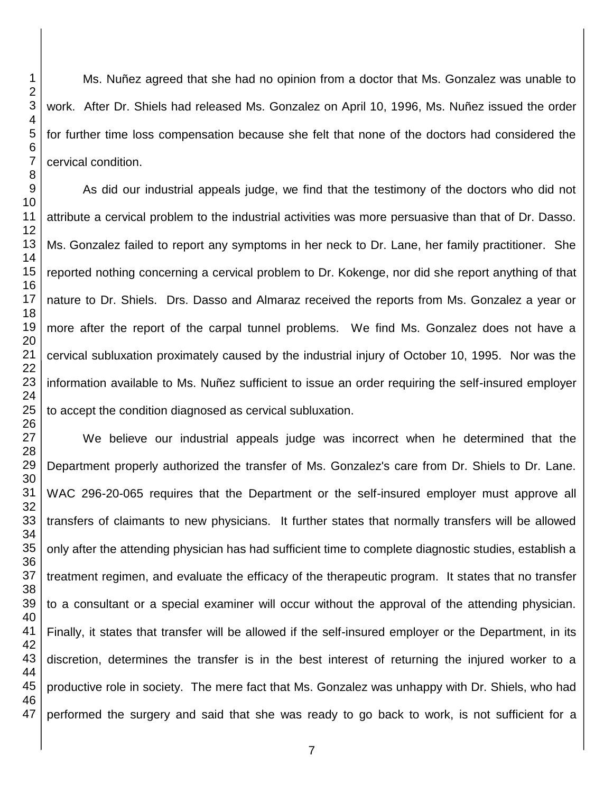Ms. Nuñez agreed that she had no opinion from a doctor that Ms. Gonzalez was unable to work. After Dr. Shiels had released Ms. Gonzalez on April 10, 1996, Ms. Nuñez issued the order for further time loss compensation because she felt that none of the doctors had considered the cervical condition.

As did our industrial appeals judge, we find that the testimony of the doctors who did not attribute a cervical problem to the industrial activities was more persuasive than that of Dr. Dasso. Ms. Gonzalez failed to report any symptoms in her neck to Dr. Lane, her family practitioner. She reported nothing concerning a cervical problem to Dr. Kokenge, nor did she report anything of that nature to Dr. Shiels. Drs. Dasso and Almaraz received the reports from Ms. Gonzalez a year or more after the report of the carpal tunnel problems. We find Ms. Gonzalez does not have a cervical subluxation proximately caused by the industrial injury of October 10, 1995. Nor was the information available to Ms. Nuñez sufficient to issue an order requiring the self-insured employer to accept the condition diagnosed as cervical subluxation.

 We believe our industrial appeals judge was incorrect when he determined that the Department properly authorized the transfer of Ms. Gonzalez's care from Dr. Shiels to Dr. Lane. WAC 296-20-065 requires that the Department or the self-insured employer must approve all transfers of claimants to new physicians. It further states that normally transfers will be allowed only after the attending physician has had sufficient time to complete diagnostic studies, establish a treatment regimen, and evaluate the efficacy of the therapeutic program. It states that no transfer to a consultant or a special examiner will occur without the approval of the attending physician. Finally, it states that transfer will be allowed if the self-insured employer or the Department, in its discretion, determines the transfer is in the best interest of returning the injured worker to a productive role in society. The mere fact that Ms. Gonzalez was unhappy with Dr. Shiels, who had performed the surgery and said that she was ready to go back to work, is not sufficient for a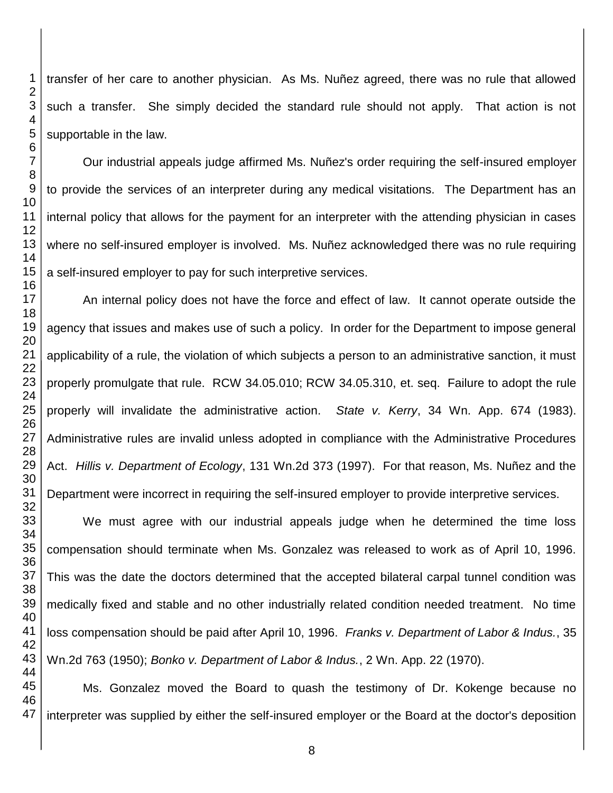transfer of her care to another physician. As Ms. Nuñez agreed, there was no rule that allowed such a transfer. She simply decided the standard rule should not apply. That action is not supportable in the law.

Our industrial appeals judge affirmed Ms. Nuñez's order requiring the self-insured employer to provide the services of an interpreter during any medical visitations. The Department has an internal policy that allows for the payment for an interpreter with the attending physician in cases where no self-insured employer is involved. Ms. Nuñez acknowledged there was no rule requiring a self-insured employer to pay for such interpretive services.

An internal policy does not have the force and effect of law. It cannot operate outside the agency that issues and makes use of such a policy. In order for the Department to impose general applicability of a rule, the violation of which subjects a person to an administrative sanction, it must properly promulgate that rule. RCW 34.05.010; RCW 34.05.310, et. seq. Failure to adopt the rule properly will invalidate the administrative action. *State v. Kerry*, 34 Wn. App. 674 (1983). Administrative rules are invalid unless adopted in compliance with the Administrative Procedures Act. *Hillis v. Department of Ecology*, 131 Wn.2d 373 (1997). For that reason, Ms. Nuñez and the Department were incorrect in requiring the self-insured employer to provide interpretive services.

We must agree with our industrial appeals judge when he determined the time loss compensation should terminate when Ms. Gonzalez was released to work as of April 10, 1996. This was the date the doctors determined that the accepted bilateral carpal tunnel condition was medically fixed and stable and no other industrially related condition needed treatment. No time loss compensation should be paid after April 10, 1996. *Franks v. Department of Labor & Indus.*, 35 Wn.2d 763 (1950); *Bonko v. Department of Labor & Indus.*, 2 Wn. App. 22 (1970).

Ms. Gonzalez moved the Board to quash the testimony of Dr. Kokenge because no interpreter was supplied by either the self-insured employer or the Board at the doctor's deposition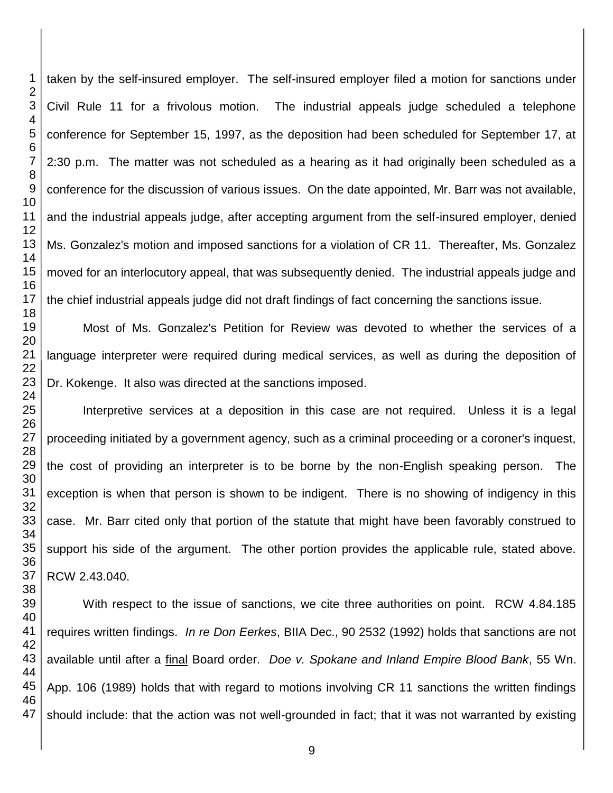taken by the self-insured employer. The self-insured employer filed a motion for sanctions under Civil Rule 11 for a frivolous motion. The industrial appeals judge scheduled a telephone conference for September 15, 1997, as the deposition had been scheduled for September 17, at 2:30 p.m. The matter was not scheduled as a hearing as it had originally been scheduled as a conference for the discussion of various issues. On the date appointed, Mr. Barr was not available, and the industrial appeals judge, after accepting argument from the self-insured employer, denied Ms. Gonzalez's motion and imposed sanctions for a violation of CR 11. Thereafter, Ms. Gonzalez moved for an interlocutory appeal, that was subsequently denied. The industrial appeals judge and the chief industrial appeals judge did not draft findings of fact concerning the sanctions issue.

Most of Ms. Gonzalez's Petition for Review was devoted to whether the services of a language interpreter were required during medical services, as well as during the deposition of Dr. Kokenge. It also was directed at the sanctions imposed.

Interpretive services at a deposition in this case are not required. Unless it is a legal proceeding initiated by a government agency, such as a criminal proceeding or a coroner's inquest, the cost of providing an interpreter is to be borne by the non-English speaking person. The exception is when that person is shown to be indigent. There is no showing of indigency in this case. Mr. Barr cited only that portion of the statute that might have been favorably construed to support his side of the argument. The other portion provides the applicable rule, stated above. RCW 2.43.040.

With respect to the issue of sanctions, we cite three authorities on point. RCW 4.84.185 requires written findings. *In re Don Eerkes*, BIIA Dec., 90 2532 (1992) holds that sanctions are not available until after a final Board order. *Doe v. Spokane and Inland Empire Blood Bank*, 55 Wn. App. 106 (1989) holds that with regard to motions involving CR 11 sanctions the written findings should include: that the action was not well-grounded in fact; that it was not warranted by existing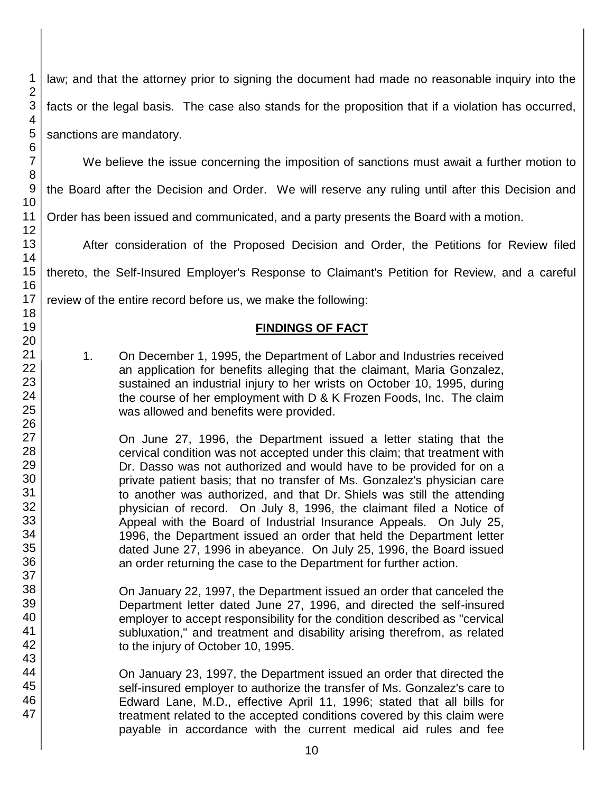law; and that the attorney prior to signing the document had made no reasonable inquiry into the facts or the legal basis. The case also stands for the proposition that if a violation has occurred, sanctions are mandatory.

We believe the issue concerning the imposition of sanctions must await a further motion to

the Board after the Decision and Order. We will reserve any ruling until after this Decision and

Order has been issued and communicated, and a party presents the Board with a motion.

After consideration of the Proposed Decision and Order, the Petitions for Review filed

thereto, the Self-Insured Employer's Response to Claimant's Petition for Review, and a careful

review of the entire record before us, we make the following:

## **FINDINGS OF FACT**

1. On December 1, 1995, the Department of Labor and Industries received an application for benefits alleging that the claimant, Maria Gonzalez, sustained an industrial injury to her wrists on October 10, 1995, during the course of her employment with D & K Frozen Foods, Inc. The claim was allowed and benefits were provided.

On June 27, 1996, the Department issued a letter stating that the cervical condition was not accepted under this claim; that treatment with Dr. Dasso was not authorized and would have to be provided for on a private patient basis; that no transfer of Ms. Gonzalez's physician care to another was authorized, and that Dr. Shiels was still the attending physician of record. On July 8, 1996, the claimant filed a Notice of Appeal with the Board of Industrial Insurance Appeals. On July 25, 1996, the Department issued an order that held the Department letter dated June 27, 1996 in abeyance. On July 25, 1996, the Board issued an order returning the case to the Department for further action.

On January 22, 1997, the Department issued an order that canceled the Department letter dated June 27, 1996, and directed the self-insured employer to accept responsibility for the condition described as "cervical subluxation," and treatment and disability arising therefrom, as related to the injury of October 10, 1995.

On January 23, 1997, the Department issued an order that directed the self-insured employer to authorize the transfer of Ms. Gonzalez's care to Edward Lane, M.D., effective April 11, 1996; stated that all bills for treatment related to the accepted conditions covered by this claim were payable in accordance with the current medical aid rules and fee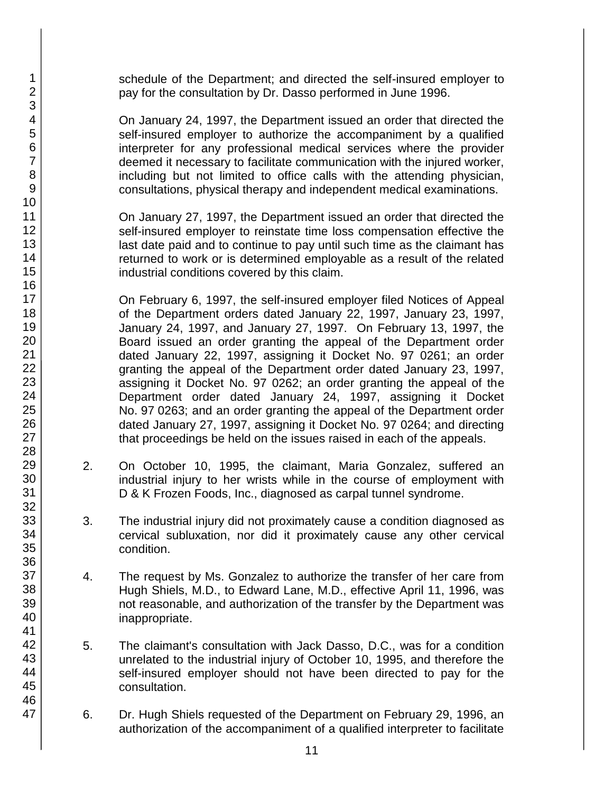schedule of the Department; and directed the self-insured employer to pay for the consultation by Dr. Dasso performed in June 1996.

On January 24, 1997, the Department issued an order that directed the self-insured employer to authorize the accompaniment by a qualified interpreter for any professional medical services where the provider deemed it necessary to facilitate communication with the injured worker, including but not limited to office calls with the attending physician, consultations, physical therapy and independent medical examinations.

On January 27, 1997, the Department issued an order that directed the self-insured employer to reinstate time loss compensation effective the last date paid and to continue to pay until such time as the claimant has returned to work or is determined employable as a result of the related industrial conditions covered by this claim.

On February 6, 1997, the self-insured employer filed Notices of Appeal of the Department orders dated January 22, 1997, January 23, 1997, January 24, 1997, and January 27, 1997. On February 13, 1997, the Board issued an order granting the appeal of the Department order dated January 22, 1997, assigning it Docket No. 97 0261; an order granting the appeal of the Department order dated January 23, 1997, assigning it Docket No. 97 0262; an order granting the appeal of the Department order dated January 24, 1997, assigning it Docket No. 97 0263; and an order granting the appeal of the Department order dated January 27, 1997, assigning it Docket No. 97 0264; and directing that proceedings be held on the issues raised in each of the appeals.

- 2. On October 10, 1995, the claimant, Maria Gonzalez, suffered an industrial injury to her wrists while in the course of employment with D & K Frozen Foods, Inc., diagnosed as carpal tunnel syndrome.
- 3. The industrial injury did not proximately cause a condition diagnosed as cervical subluxation, nor did it proximately cause any other cervical condition.
- 4. The request by Ms. Gonzalez to authorize the transfer of her care from Hugh Shiels, M.D., to Edward Lane, M.D., effective April 11, 1996, was not reasonable, and authorization of the transfer by the Department was inappropriate.
- 5. The claimant's consultation with Jack Dasso, D.C., was for a condition unrelated to the industrial injury of October 10, 1995, and therefore the self-insured employer should not have been directed to pay for the consultation.
- 6. Dr. Hugh Shiels requested of the Department on February 29, 1996, an authorization of the accompaniment of a qualified interpreter to facilitate

1 2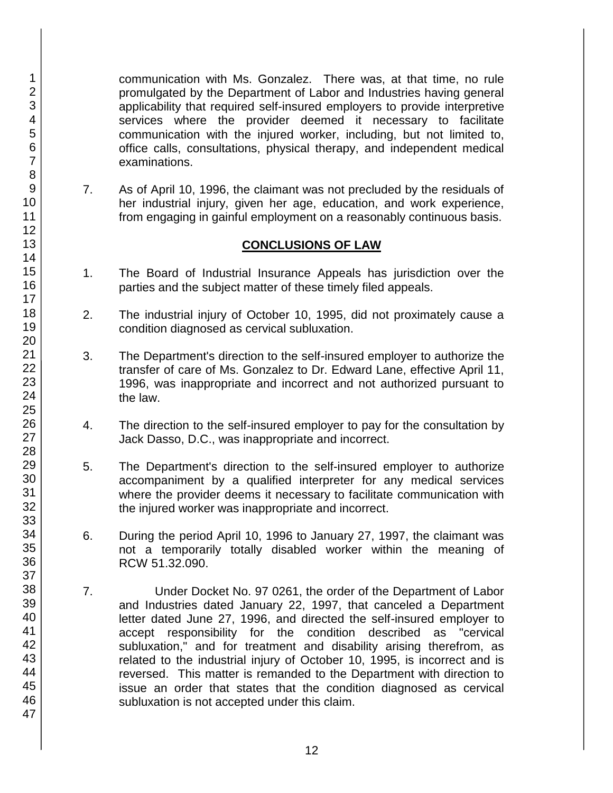communication with Ms. Gonzalez. There was, at that time, no rule promulgated by the Department of Labor and Industries having general applicability that required self-insured employers to provide interpretive services where the provider deemed it necessary to facilitate communication with the injured worker, including, but not limited to, office calls, consultations, physical therapy, and independent medical examinations.

7. As of April 10, 1996, the claimant was not precluded by the residuals of her industrial injury, given her age, education, and work experience, from engaging in gainful employment on a reasonably continuous basis.

# **CONCLUSIONS OF LAW**

- 1. The Board of Industrial Insurance Appeals has jurisdiction over the parties and the subject matter of these timely filed appeals.
- 2. The industrial injury of October 10, 1995, did not proximately cause a condition diagnosed as cervical subluxation.
- 3. The Department's direction to the self-insured employer to authorize the transfer of care of Ms. Gonzalez to Dr. Edward Lane, effective April 11, 1996, was inappropriate and incorrect and not authorized pursuant to the law.
- 4. The direction to the self-insured employer to pay for the consultation by Jack Dasso, D.C., was inappropriate and incorrect.
- 5. The Department's direction to the self-insured employer to authorize accompaniment by a qualified interpreter for any medical services where the provider deems it necessary to facilitate communication with the injured worker was inappropriate and incorrect.
- 6. During the period April 10, 1996 to January 27, 1997, the claimant was not a temporarily totally disabled worker within the meaning of RCW 51.32.090.
- 7. Under Docket No. 97 0261, the order of the Department of Labor and Industries dated January 22, 1997, that canceled a Department letter dated June 27, 1996, and directed the self-insured employer to accept responsibility for the condition described as "cervical subluxation," and for treatment and disability arising therefrom, as related to the industrial injury of October 10, 1995, is incorrect and is reversed. This matter is remanded to the Department with direction to issue an order that states that the condition diagnosed as cervical subluxation is not accepted under this claim.